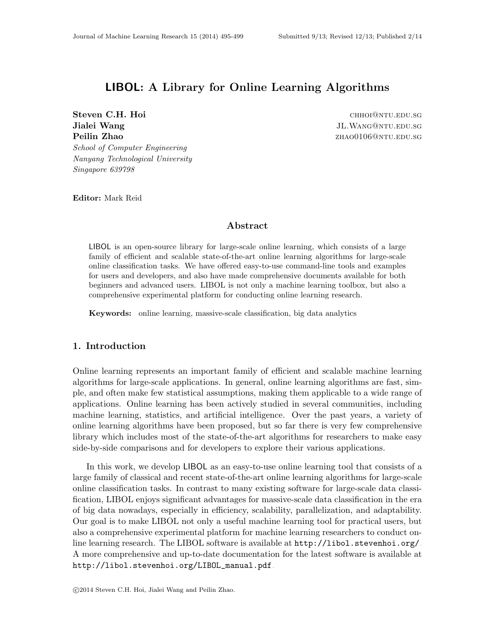# LIBOL: A Library for Online Learning Algorithms

Steven C.H. Hoi chhoi@ntu.edu.sg Jialei Wang Juli Mang Juli Mang Juli Mang Juli Mang Juli Mang Juli Mang Juli Mang Juli Mang Juli Mang Juli Mang Juli Mang Juli Mang Juli Mang Juli Mang Juli Mang Juli Mang Juli Mang Juli Mang Juli Mang Juli Mang Juli Mang **Peilin Zhao zhaou zhaou zhaou zhaou zhaou zhaou zhaou zhaou zhaou zhaou zhaou zhaou zhaou zhaou zhaou zhaou zhaou zhaou zhaou zhaou zhaou zhaou zhaou zhaou zhaou zhaou zhaou zhaou zhaou zhaou zhaou zhaou zhaou zhaou zha** School of Computer Engineering Nanyang Technological University

Editor: Mark Reid

Singapore 639798

### Abstract

LIBOL is an open-source library for large-scale online learning, which consists of a large family of efficient and scalable state-of-the-art online learning algorithms for large-scale online classification tasks. We have offered easy-to-use command-line tools and examples for users and developers, and also have made comprehensive documents available for both beginners and advanced users. LIBOL is not only a machine learning toolbox, but also a comprehensive experimental platform for conducting online learning research.

Keywords: online learning, massive-scale classification, big data analytics

# 1. Introduction

Online learning represents an important family of efficient and scalable machine learning algorithms for large-scale applications. In general, online learning algorithms are fast, simple, and often make few statistical assumptions, making them applicable to a wide range of applications. Online learning has been actively studied in several communities, including machine learning, statistics, and artificial intelligence. Over the past years, a variety of online learning algorithms have been proposed, but so far there is very few comprehensive library which includes most of the state-of-the-art algorithms for researchers to make easy side-by-side comparisons and for developers to explore their various applications.

In this work, we develop LIBOL as an easy-to-use online learning tool that consists of a large family of classical and recent state-of-the-art online learning algorithms for large-scale online classification tasks. In contrast to many existing software for large-scale data classification, LIBOL enjoys significant advantages for massive-scale data classification in the era of big data nowadays, especially in efficiency, scalability, parallelization, and adaptability. Our goal is to make LIBOL not only a useful machine learning tool for practical users, but also a comprehensive experimental platform for machine learning researchers to conduct online learning research. The LIBOL software is available at  $http://libol.setvenhoi.org/$ . A more comprehensive and up-to-date documentation for the latest software is available at [http://libol.stevenhoi.org/LIBOL\\_manual.pdf](http://libol.stevenhoi.org/LIBOL_manual.pdf).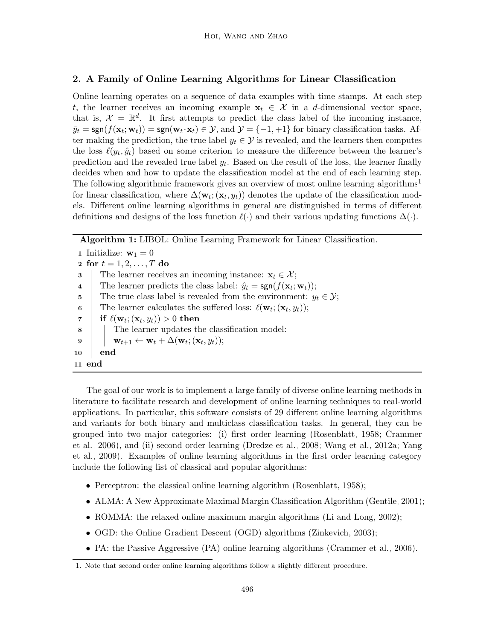# 2. A Family of Online Learning Algorithms for Linear Classification

Online learning operates on a sequence of data examples with time stamps. At each step t, the learner receives an incoming example  $x_t \in \mathcal{X}$  in a d-dimensional vector space, that is,  $\mathcal{X} = \mathbb{R}^d$ . It first attempts to predict the class label of the incoming instance,  $\hat{y}_t = \text{sgn}(f(\mathbf{x}_t; \mathbf{w}_t)) = \text{sgn}(\mathbf{w}_t \cdot \mathbf{x}_t) \in \mathcal{Y}$ , and  $\mathcal{Y} = \{-1, +1\}$  for binary classification tasks. After making the prediction, the true label  $y_t \in \mathcal{Y}$  is revealed, and the learners then computes the loss  $\ell(y_t, \hat{y}_t)$  based on some criterion to measure the difference between the learner's prediction and the revealed true label  $y_t$ . Based on the result of the loss, the learner finally decides when and how to update the classification model at the end of each learning step. The following algorithmic framework gives an overview of most online learning algorithms<sup>[1](#page-1-0)</sup> for linear classification, where  $\Delta(\mathbf{w}_t; (\mathbf{x}_t, y_t))$  denotes the update of the classification models. Different online learning algorithms in general are distinguished in terms of different definitions and designs of the loss function  $\ell(\cdot)$  and their various updating functions  $\Delta(\cdot)$ .

Algorithm 1: LIBOL: Online Learning Framework for Linear Classification.

1 Initialize:  $\mathbf{w}_1 = 0$ 2 for  $t = 1, 2, ..., T$  do 3 The learner receives an incoming instance:  $x_t \in \mathcal{X}$ ; 4 The learner predicts the class label:  $\hat{y}_t = \text{sgn}(f(\mathbf{x}_t; \mathbf{w}_t));$ 5 The true class label is revealed from the environment:  $y_t \in \mathcal{Y}$ ; 6 The learner calculates the suffered loss:  $\ell(\mathbf{w}_t; (\mathbf{x}_t, y_t));$  $\begin{array}{ll} \texttt{7} & \texttt{|} & \texttt{if} \,\, \ell(\textbf{w}_t;(\textbf{x}_t,y_t)) > 0 \texttt{ then} \end{array}$ 8 The learner updates the classification model:  $\mathbf{9} \quad | \quad | \quad \mathbf{w}_{t+1} \leftarrow \mathbf{w}_t + \Delta(\mathbf{w}_t; (\mathbf{x}_t, y_t));$ 10 end 11 end

The goal of our work is to implement a large family of diverse online learning methods in literature to facilitate research and development of online learning techniques to real-world applications. In particular, this software consists of 29 different online learning algorithms and variants for both binary and multiclass classification tasks. In general, they can be grouped into two major categories: (i) first order learning [\(Rosenblatt, 1958;](#page-4-0) [Crammer](#page-4-1) [et al., 2006\)](#page-4-1), and (ii) second order learning [\(Dredze et al., 2008;](#page-4-2) [Wang et al., 2012a;](#page-4-3) [Yang](#page-4-4) [et al., 2009\)](#page-4-4). Examples of online learning algorithms in the first order learning category include the following list of classical and popular algorithms:

- Perceptron: the classical online learning algorithm [\(Rosenblatt, 1958\)](#page-4-0);
- ALMA: A New Approximate Maximal Margin Classification Algorithm [\(Gentile, 2001\)](#page-4-5);
- ROMMA: the relaxed online maximum margin algorithms [\(Li and Long, 2002\)](#page-4-6);
- OGD: the Online Gradient Descent (OGD) algorithms [\(Zinkevich, 2003\)](#page-4-7);
- PA: the Passive Aggressive (PA) online learning algorithms [\(Crammer et al., 2006\)](#page-4-1).

<span id="page-1-0"></span><sup>1.</sup> Note that second order online learning algorithms follow a slightly different procedure.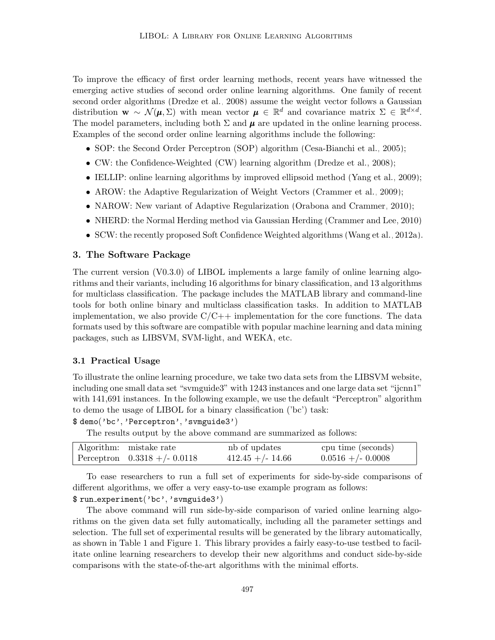To improve the efficacy of first order learning methods, recent years have witnessed the emerging active studies of second order online learning algorithms. One family of recent second order algorithms [\(Dredze et al., 2008\)](#page-4-2) assume the weight vector follows a Gaussian distribution  $\mathbf{w} \sim \mathcal{N}(\boldsymbol{\mu}, \Sigma)$  with mean vector  $\boldsymbol{\mu} \in \mathbb{R}^d$  and covariance matrix  $\Sigma \in \mathbb{R}^{d \times d}$ . The model parameters, including both  $\Sigma$  and  $\mu$  are updated in the online learning process. Examples of the second order online learning algorithms include the following:

- SOP: the Second Order Perceptron (SOP) algorithm [\(Cesa-Bianchi et al., 2005\)](#page-4-8);
- CW: the Confidence-Weighted (CW) learning algorithm [\(Dredze et al., 2008\)](#page-4-2);
- IELLIP: online learning algorithms by improved ellipsoid method [\(Yang et al., 2009\)](#page-4-4);
- AROW: the Adaptive Regularization of Weight Vectors [\(Crammer et al., 2009\)](#page-4-9);
- NAROW: New variant of Adaptive Regularization [\(Orabona and Crammer, 2010\)](#page-4-10);
- NHERD: the Normal Herding method via Gaussian Herding [\(Crammer and Lee, 2010\)](#page-4-11)
- SCW: the recently proposed Soft Confidence Weighted algorithms [\(Wang et al., 2012a\)](#page-4-3).

### 3. The Software Package

The current version (V0.3.0) of LIBOL implements a large family of online learning algorithms and their variants, including 16 algorithms for binary classification, and 13 algorithms for multiclass classification. The package includes the MATLAB library and command-line tools for both online binary and multiclass classification tasks. In addition to MATLAB implementation, we also provide  $C/C++$  implementation for the core functions. The data formats used by this software are compatible with popular machine learning and data mining packages, such as LIBSVM, SVM-light, and WEKA, etc.

#### 3.1 Practical Usage

To illustrate the online learning procedure, we take two data sets from the LIBSVM website, including one small data set "svmguide3" with 1243 instances and one large data set "ijcnn1" with 141,691 instances. In the following example, we use the default "Perceptron" algorithm to demo the usage of LIBOL for a binary classification ('bc') task:

\$ demo('bc', 'Perceptron', 'svmguide3')

The results output by the above command are summarized as follows:

| Algorithm: mistake rate         | nb of updates       | cpu time (seconds)   |
|---------------------------------|---------------------|----------------------|
| Perceptron $0.3318 + (-0.0118)$ | $412.45 + (-14.66)$ | $0.0516 + (-0.0008)$ |

To ease researchers to run a full set of experiments for side-by-side comparisons of different algorithms, we offer a very easy-to-use example program as follows:

### \$ run experiment('bc', 'svmguide3')

The above command will run side-by-side comparison of varied online learning algorithms on the given data set fully automatically, including all the parameter settings and selection. The full set of experimental results will be generated by the library automatically, as shown in Table 1 and Figure 1. This library provides a fairly easy-to-use testbed to facilitate online learning researchers to develop their new algorithms and conduct side-by-side comparisons with the state-of-the-art algorithms with the minimal efforts.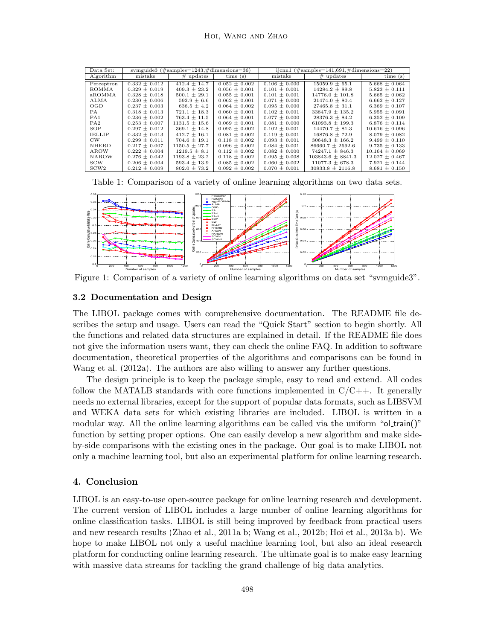| Data Set:        | symguide3 $(\text{\#samples}=1243, \text{\#dimensions}=36)$ |                   |                   | $ijcm1$ (#samples=141,691,#dimensions=22) |                       |                    |
|------------------|-------------------------------------------------------------|-------------------|-------------------|-------------------------------------------|-----------------------|--------------------|
| Algorithm        | mistake                                                     | $#$ updates       | time(s)           | mistake                                   | $#$ updates           | time(s)            |
| Perceptron       | $0.332 \pm 0.012$                                           | $412.4 \pm 14.7$  | $0.052 \pm 0.002$ | $0.106 \pm 0.000$                         | $15059.9 \pm 65.1$    | $5.668 \pm 0.064$  |
| ROMMA            | $0.329 \pm 0.019$                                           | $409.3 \pm 23.2$  | $0.056 \pm 0.001$ | $0.101 \pm 0.001$                         | $14284.2 + 89.8$      | $5.823 \pm 0.111$  |
| aROMMA           | $0.328 \pm 0.018$                                           | $500.1 \pm 29.1$  | $0.055 \pm 0.001$ | $0.101 \pm 0.001$                         | $14776.0 \pm 101.8$   | $5.665 \pm 0.062$  |
| ALMA             | $0.230 \pm 0.006$                                           | $592.9 \pm 6.6$   | $0.062 \pm 0.001$ | $0.071 \pm 0.000$                         | $21474.0 \pm 80.4$    | $6.662 \pm 0.127$  |
| OGD              | $0.237 \pm 0.003$                                           | $636.5 \pm 4.2$   | $0.064 \pm 0.002$ | $0.095 \pm 0.000$                         | $27465.8 \pm 31.1$    | $6.369 \pm 0.107$  |
| PA               | $0.318 \pm 0.013$                                           | $721.1 \pm 18.3$  | $0.060 \pm 0.001$ | $0.102 \pm 0.001$                         | $33847.9 \pm 135.2$   | $5.955 \pm 0.091$  |
| PA1              | $0.236 \pm 0.002$                                           | $763.4 \pm 11.5$  | $0.064 \pm 0.001$ | $0.077 \pm 0.000$                         | $28376.3 \pm 84.2$    | $6.352 \pm 0.109$  |
| PA2              | $0.253 \pm 0.007$                                           | $1131.5 \pm 15.6$ | $0.069 \pm 0.001$ | $0.081 \pm 0.000$                         | $61093.8 \pm 199.3$   | $6.876 \pm 0.114$  |
| SOP              | $0.297 \pm 0.012$                                           | $369.1 \pm 14.8$  | $0.095 \pm 0.002$ | $0.102 \pm 0.001$                         | $14470.7 \pm 81.3$    | $10.616 \pm 0.096$ |
| <b>IELLIP</b>    | $0.332 \pm 0.013$                                           | $412.7 \pm 16.1$  | $0.081 \pm 0.002$ | $0.119 \pm 0.001$                         | $16876.8 \pm 72.9$    | $8.079 \pm 0.082$  |
| $_{\text{CW}}$   | $0.299 \pm 0.011$                                           | $704.6 \pm 19.1$  | $0.118 \pm 0.002$ | $0.093 \pm 0.001$                         | $30648.3 \pm 166.2$   | $9.499 \pm 0.110$  |
| <b>NHERD</b>     | $0.217 \pm 0.007$                                           | $1150.5 \pm 27.7$ | $0.096 \pm 0.002$ | $0.084 \pm 0.001$                         | $86660.7 \pm 2692.6$  | $9.735 \pm 0.133$  |
| AROW             | $0.222 \pm 0.004$                                           | $1219.5 \pm 8.1$  | $0.112 \pm 0.002$ | $0.082 \pm 0.000$                         | $74247.1 \pm 846.3$   | $10.164 \pm 0.069$ |
| <b>NAROW</b>     | $0.276 \pm 0.042$                                           | $1193.8 \pm 23.2$ | $0.118 \pm 0.002$ | $0.095 \pm 0.008$                         | $103843.6 \pm 8841.3$ | $12.027 \pm 0.467$ |
| <b>SCW</b>       | $0.206 \pm 0.004$                                           | $593.4 \pm 13.9$  | $0.085 \pm 0.002$ | $0.060 \pm 0.002$                         | $11077.3 \pm 678.3$   | $7.921 \pm 0.144$  |
| SCW <sub>2</sub> | $0.212 \pm 0.009$                                           | $802.0 \pm 73.2$  | $0.092 \pm 0.002$ | $0.070 \pm 0.001$                         | $30833.8 \pm 2116.8$  | $8.681 \pm 0.150$  |

Table 1: Comparison of a variety of online learning algorithms on two data sets.



Figure 1: Comparison of a variety of online learning algorithms on data set "svmguide3".

### 3.2 Documentation and Design

The LIBOL package comes with comprehensive documentation. The README file describes the setup and usage. Users can read the "Quick Start" section to begin shortly. All the functions and related data structures are explained in detail. If the README file does not give the information users want, they can check the online FAQ. In addition to software documentation, theoretical properties of the algorithms and comparisons can be found in [Wang et al.](#page-4-3) [\(2012a\)](#page-4-3). The authors are also willing to answer any further questions.

The design principle is to keep the package simple, easy to read and extend. All codes follow the MATALB standards with core functions implemented in  $C/C++$ . It generally needs no external libraries, except for the support of popular data formats, such as LIBSVM and WEKA data sets for which existing libraries are included. LIBOL is written in a modular way. All the online learning algorithms can be called via the uniform "ol train()" function by setting proper options. One can easily develop a new algorithm and make sideby-side comparisons with the existing ones in the package. Our goal is to make LIBOL not only a machine learning tool, but also an experimental platform for online learning research.

### 4. Conclusion

LIBOL is an easy-to-use open-source package for online learning research and development. The current version of LIBOL includes a large number of online learning algorithms for online classification tasks. LIBOL is still being improved by feedback from practical users and new research results [\(Zhao et al., 2011a,](#page-4-12)[b;](#page-4-13) [Wang et al., 2012b;](#page-4-14) [Hoi et al., 2013a,](#page-4-15)[b\)](#page-4-16). We hope to make LIBOL not only a useful machine learning tool, but also an ideal research platform for conducting online learning research. The ultimate goal is to make easy learning with massive data streams for tackling the grand challenge of big data analytics.